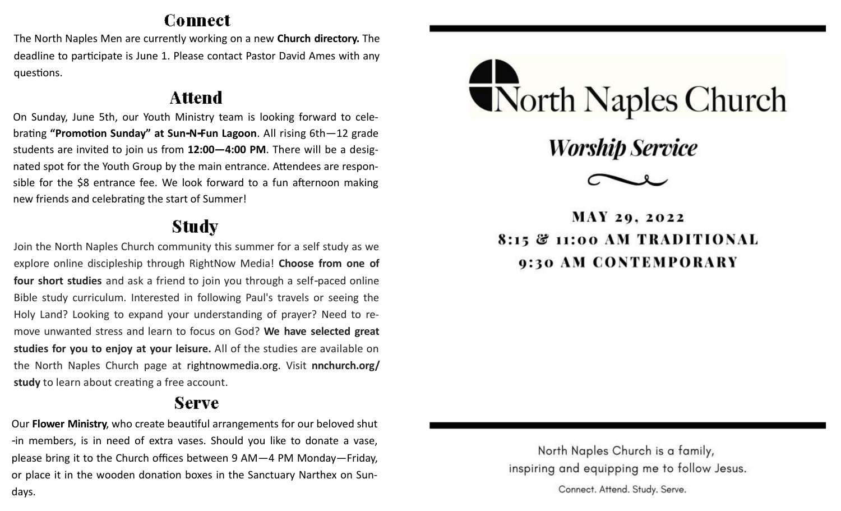### Connect

The North Naples Men are currently working on a new **Church directory.** The deadline to participate is June 1. Please contact Pastor David Ames with any questions.

## **Attend**

On Sunday, June 5th, our Youth Ministry team is looking forward to celebrating **"Promotion Sunday" at Sun-N-Fun Lagoon**. All rising 6th—12 grade students are invited to join us from **12:00—4:00 PM**. There will be a designated spot for the Youth Group by the main entrance. Attendees are responsible for the \$8 entrance fee. We look forward to a fun afternoon making new friends and celebrating the start of Summer!

# Study

Join the North Naples Church community this summer for a self study as we explore online discipleship through RightNow Media! **Choose from one of four short studies** and ask a friend to join you through a self-paced online Bible study curriculum. Interested in following Paul's travels or seeing the Holy Land? Looking to expand your understanding of prayer? Need to remove unwanted stress and learn to focus on God? **We have selected great studies for you to enjoy at your leisure.** All of the studies are available on the North Naples Church page at rightnowmedia.org. Visit **nnchurch.org/ study** to learn about creating a free account.

## **Serve**

Our **Flower Ministry**, who create beautiful arrangements for our beloved shut -in members, is in need of extra vases. Should you like to donate a vase, please bring it to the Church offices between 9 AM—4 PM Monday—Friday, or place it in the wooden donation boxes in the Sanctuary Narthex on Sundays.



**Worship Service** 



**MAY 29, 2022** 8:15 & 11:00 AM TRADITIONAL 9:30 AM CONTEMPORARY

North Naples Church is a family, inspiring and equipping me to follow Jesus.

Connect. Attend. Study. Serve.